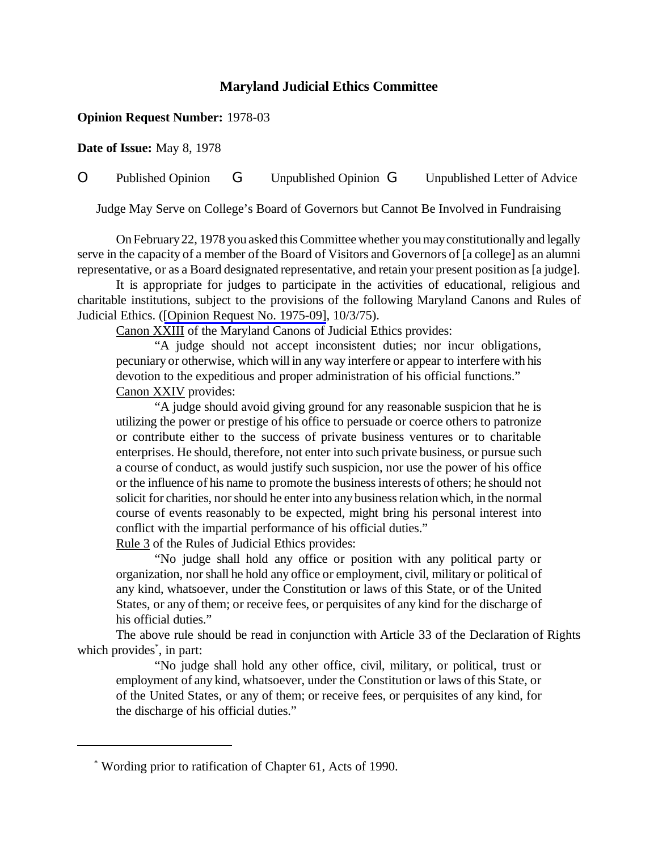## **Maryland Judicial Ethics Committee**

## **Opinion Request Number:** 1978-03

**Date of Issue:** May 8, 1978

O Published Opinion G Unpublished Opinion G Unpublished Letter of Advice

Judge May Serve on College's Board of Governors but Cannot Be Involved in Fundraising

OnFebruary22, 1978 you asked thisCommittee whether youmayconstitutionally and legally serve in the capacity of a member of the Board of Visitors and Governors of [a college] as an alumni representative, or as a Board designated representative, and retain your present position as [a judge].

It is appropriate for judges to participate in the activities of educational, religious and charitable institutions, subject to the provisions of the following Maryland Canons and Rules of Judicial Ethics. ([\[Opinion Request No. 1975-09\],](http://www.mdcourts.gov/ethics/pdfs/1975-09.pdf) 10/3/75).

Canon XXIII of the Maryland Canons of Judicial Ethics provides:

"A judge should not accept inconsistent duties; nor incur obligations, pecuniary or otherwise, which will in any way interfere or appear to interfere with his devotion to the expeditious and proper administration of his official functions." Canon XXIV provides:

"A judge should avoid giving ground for any reasonable suspicion that he is utilizing the power or prestige of his office to persuade or coerce others to patronize or contribute either to the success of private business ventures or to charitable enterprises. He should, therefore, not enter into such private business, or pursue such a course of conduct, as would justify such suspicion, nor use the power of his office or the influence of his name to promote the businessinterests of others; he should not solicit for charities, nor should he enter into any business relation which, in the normal course of events reasonably to be expected, might bring his personal interest into conflict with the impartial performance of his official duties." Rule 3 of the Rules of Judicial Ethics provides:

"No judge shall hold any office or position with any political party or organization, norshall he hold any office or employment, civil, military or political of any kind, whatsoever, under the Constitution or laws of this State, or of the United States, or any of them; or receive fees, or perquisites of any kind for the discharge of his official duties."

The above rule should be read in conjunction with Article 33 of the Declaration of Rights which provides<sup>\*</sup>, in part:

"No judge shall hold any other office, civil, military, or political, trust or employment of any kind, whatsoever, under the Constitution or laws of this State, or of the United States, or any of them; or receive fees, or perquisites of any kind, for the discharge of his official duties."

<sup>\*</sup> Wording prior to ratification of Chapter 61, Acts of 1990.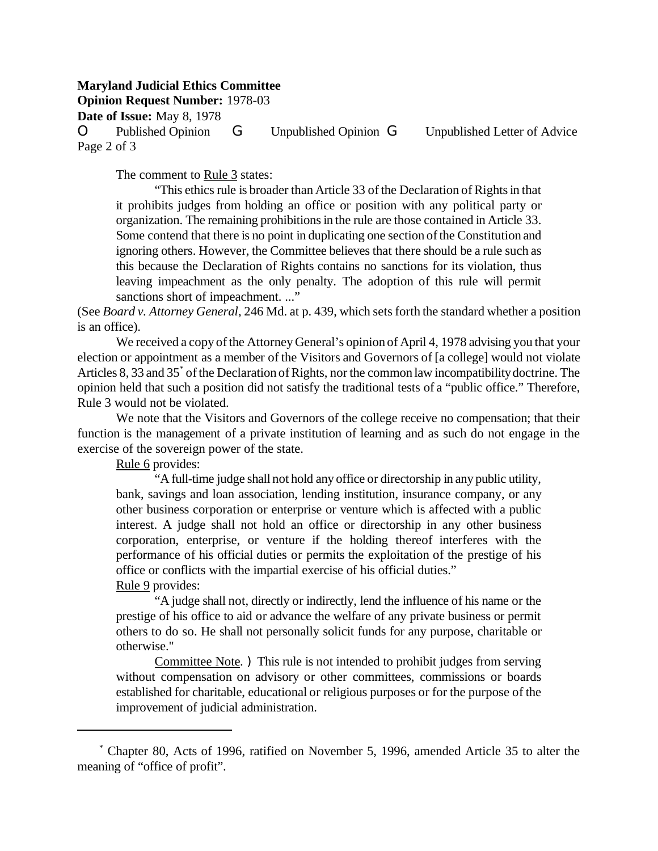## **Maryland Judicial Ethics Committee**

**Opinion Request Number:** 1978-03

**Date of Issue:** May 8, 1978

O Published Opinion G Unpublished Opinion G Unpublished Letter of Advice Page 2 of 3

The comment to Rule 3 states:

"This ethics rule is broader than Article 33 of the Declaration of Rights in that it prohibits judges from holding an office or position with any political party or organization. The remaining prohibitionsin the rule are those contained in Article 33. Some contend that there is no point in duplicating one section of the Constitution and ignoring others. However, the Committee believes that there should be a rule such as this because the Declaration of Rights contains no sanctions for its violation, thus leaving impeachment as the only penalty. The adoption of this rule will permit sanctions short of impeachment. ..."

(See *Board v. Attorney General*, 246 Md. at p. 439, which setsforth the standard whether a position is an office).

We received a copy of the Attorney General's opinion of April 4, 1978 advising you that your election or appointment as a member of the Visitors and Governors of [a college] would not violate Articles 8, 33 and 35<sup>\*</sup> of the Declaration of Rights, nor the common law incompatibility doctrine. The opinion held that such a position did not satisfy the traditional tests of a "public office." Therefore, Rule 3 would not be violated.

We note that the Visitors and Governors of the college receive no compensation; that their function is the management of a private institution of learning and as such do not engage in the exercise of the sovereign power of the state.

Rule 6 provides:

"A full-time judge shall not hold any office or directorship in any public utility, bank, savings and loan association, lending institution, insurance company, or any other business corporation or enterprise or venture which is affected with a public interest. A judge shall not hold an office or directorship in any other business corporation, enterprise, or venture if the holding thereof interferes with the performance of his official duties or permits the exploitation of the prestige of his office or conflicts with the impartial exercise of his official duties." Rule 9 provides:

"A judge shall not, directly or indirectly, lend the influence of his name or the prestige of his office to aid or advance the welfare of any private business or permit others to do so. He shall not personally solicit funds for any purpose, charitable or otherwise."

Committee Note. ) This rule is not intended to prohibit judges from serving without compensation on advisory or other committees, commissions or boards established for charitable, educational or religious purposes or for the purpose of the improvement of judicial administration.

 <sup>\*</sup> Chapter 80, Acts of 1996, ratified on November 5, 1996, amended Article 35 to alter the meaning of "office of profit".